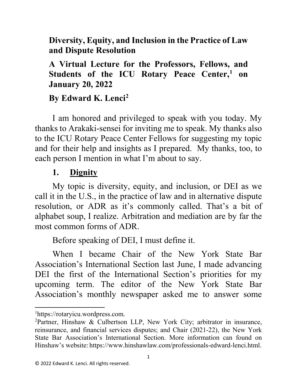### **Diversity, Equity, and Inclusion in the Practice of Law and Dispute Resolution**

**A Virtual Lecture for the Professors, Fellows, and Students of the ICU Rotary Peace Center, [1](#page-0-0) on January 20, 2022**

### **By Edward K. Lenci[2](#page-0-1)**

I am honored and privileged to speak with you today. My thanks to Arakaki-sensei for inviting me to speak. My thanks also to the ICU Rotary Peace Center Fellows for suggesting my topic and for their help and insights as I prepared. My thanks, too, to each person I mention in what I'm about to say.

#### **1. Dignity**

My topic is diversity, equity, and inclusion, or DEI as we call it in the U.S., in the practice of law and in alternative dispute resolution, or ADR as it's commonly called. That's a bit of alphabet soup, I realize. Arbitration and mediation are by far the most common forms of ADR.

Before speaking of DEI, I must define it.

When I became Chair of the New York State Bar Association's International Section last June, I made advancing DEI the first of the International Section's priorities for my upcoming term. The editor of the New York State Bar Association's monthly newspaper asked me to answer some

l

<span id="page-0-0"></span><sup>1</sup> https://rotaryicu.wordpress.com.

<span id="page-0-1"></span><sup>2</sup> Partner, Hinshaw & Culbertson LLP, New York City; arbitrator in insurance, reinsurance, and financial services disputes; and Chair (2021-22), the New York State Bar Association's International Section. More information can found on Hinshaw's website: https://www.hinshawlaw.com/professionals-edward-lenci.html.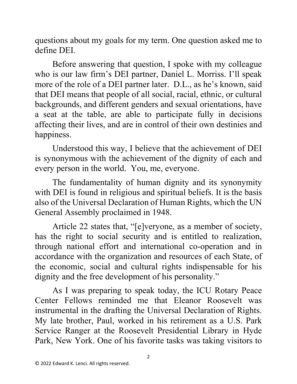questions about my goals for my term. One question asked me to define DEI.

Before answering that question, I spoke with my colleague who is our law firm's DEI partner, Daniel L. Morriss. I'll speak more of the role of a DEI partner later. D.L., as he's known, said that DEI means that people of all social, racial, ethnic, or cultural backgrounds, and different genders and sexual orientations, have a seat at the table, are able to participate fully in decisions affecting their lives, and are in control of their own destinies and happiness.

Understood this way, I believe that the achievement of DEI is synonymous with the achievement of the dignity of each and every person in the world. You, me, everyone.

The fundamentality of human dignity and its synonymity with DEI is found in religious and spiritual beliefs. It is the basis also of the Universal Declaration of Human Rights, which the UN General Assembly proclaimed in 1948.

Article 22 states that, "[e]veryone, as a member of society, has the right to social security and is entitled to realization, through national effort and international co-operation and in accordance with the organization and resources of each State, of the economic, social and cultural rights indispensable for his dignity and the free development of his personality."

As I was preparing to speak today, the ICU Rotary Peace Center Fellows reminded me that Eleanor Roosevelt was instrumental in the drafting the Universal Declaration of Rights. My late brother, Paul, worked in his retirement as a U.S. Park Service Ranger at the Roosevelt Presidential Library in Hyde Park, New York. One of his favorite tasks was taking visitors to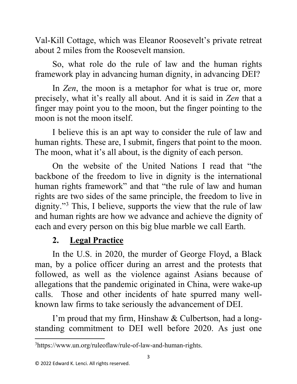Val-Kill Cottage, which was Eleanor Roosevelt's private retreat about 2 miles from the Roosevelt mansion.

So, what role do the rule of law and the human rights framework play in advancing human dignity, in advancing DEI?

In *Zen*, the moon is a metaphor for what is true or, more precisely, what it's really all about. And it is said in *Zen* that a finger may point you to the moon, but the finger pointing to the moon is not the moon itself.

I believe this is an apt way to consider the rule of law and human rights. These are, I submit, fingers that point to the moon. The moon, what it's all about, is the dignity of each person.

On the website of the United Nations I read that "the backbone of the freedom to live in dignity is the international human rights framework" and that "the rule of law and human rights are two sides of the same principle, the freedom to live in dignity."<sup>[3](#page-2-0)</sup> This, I believe, supports the view that the rule of law and human rights are how we advance and achieve the dignity of each and every person on this big blue marble we call Earth.

# **2. Legal Practice**

In the U.S. in 2020, the murder of George Floyd, a Black man, by a police officer during an arrest and the protests that followed, as well as the violence against Asians because of allegations that the pandemic originated in China, were wake-up calls. Those and other incidents of hate spurred many wellknown law firms to take seriously the advancement of DEI.

I'm proud that my firm, Hinshaw & Culbertson, had a longstanding commitment to DEI well before 2020. As just one

<span id="page-2-0"></span> $\overline{a}$ 3 https://www.un.org/ruleoflaw/rule-of-law-and-human-rights.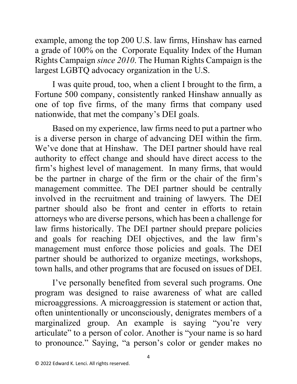example, among the top 200 U.S. law firms, Hinshaw has earned a grade of 100% on the Corporate Equality Index of the Human Rights Campaign *since 2010*. The Human Rights Campaign is the largest LGBTQ advocacy organization in the U.S.

I was quite proud, too, when a client I brought to the firm, a Fortune 500 company, consistently ranked Hinshaw annually as one of top five firms, of the many firms that company used nationwide, that met the company's DEI goals.

Based on my experience, law firms need to put a partner who is a diverse person in charge of advancing DEI within the firm. We've done that at Hinshaw. The DEI partner should have real authority to effect change and should have direct access to the firm's highest level of management. In many firms, that would be the partner in charge of the firm or the chair of the firm's management committee. The DEI partner should be centrally involved in the recruitment and training of lawyers. The DEI partner should also be front and center in efforts to retain attorneys who are diverse persons, which has been a challenge for law firms historically. The DEI partner should prepare policies and goals for reaching DEI objectives, and the law firm's management must enforce those policies and goals. The DEI partner should be authorized to organize meetings, workshops, town halls, and other programs that are focused on issues of DEI.

I've personally benefited from several such programs. One program was designed to raise awareness of what are called microaggressions. A microaggression is statement or action that, often unintentionally or unconsciously, denigrates members of a marginalized group. An example is saying "you're very articulate" to a person of color. Another is "your name is so hard to pronounce." Saying, "a person's color or gender makes no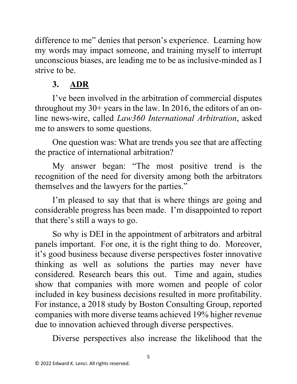difference to me" denies that person's experience. Learning how my words may impact someone, and training myself to interrupt unconscious biases, are leading me to be as inclusive-minded as I strive to be.

# **3. ADR**

I've been involved in the arbitration of commercial disputes throughout my 30+ years in the law. In 2016, the editors of an online news-wire, called *Law360 International Arbitration*, asked me to answers to some questions.

One question was: What are trends you see that are affecting the practice of international arbitration?

My answer began: "The most positive trend is the recognition of the need for diversity among both the arbitrators themselves and the lawyers for the parties."

I'm pleased to say that that is where things are going and considerable progress has been made. I'm disappointed to report that there's still a ways to go.

So why is DEI in the appointment of arbitrators and arbitral panels important. For one, it is the right thing to do. Moreover, it's good business because diverse perspectives foster innovative thinking as well as solutions the parties may never have considered. Research bears this out. Time and again, studies show that companies with more women and people of color included in key business decisions resulted in more profitability. For instance, a 2018 study by Boston Consulting Group, reported companies with more diverse teams achieved 19% higher revenue due to innovation achieved through diverse perspectives.

Diverse perspectives also increase the likelihood that the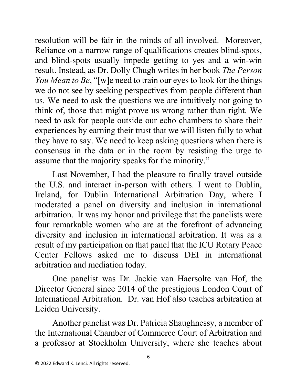resolution will be fair in the minds of all involved. Moreover, Reliance on a narrow range of qualifications creates blind-spots, and blind-spots usually impede getting to yes and a win-win result. Instead, as Dr. Dolly Chugh writes in her book *The Person You Mean to Be*, "[w]e need to train our eyes to look for the things we do not see by seeking perspectives from people different than us. We need to ask the questions we are intuitively not going to think of, those that might prove us wrong rather than right. We need to ask for people outside our echo chambers to share their experiences by earning their trust that we will listen fully to what they have to say. We need to keep asking questions when there is consensus in the data or in the room by resisting the urge to assume that the majority speaks for the minority."

Last November, I had the pleasure to finally travel outside the U.S. and interact in-person with others. I went to Dublin, Ireland, for Dublin International Arbitration Day, where I moderated a panel on diversity and inclusion in international arbitration. It was my honor and privilege that the panelists were four remarkable women who are at the forefront of advancing diversity and inclusion in international arbitration. It was as a result of my participation on that panel that the ICU Rotary Peace Center Fellows asked me to discuss DEI in international arbitration and mediation today.

One panelist was Dr. Jackie van Haersolte van Hof, the Director General since 2014 of the prestigious London Court of International Arbitration. Dr. van Hof also teaches arbitration at Leiden University.

Another panelist was Dr. Patricia Shaughnessy, a member of the International Chamber of Commerce Court of Arbitration and a professor at Stockholm University, where she teaches about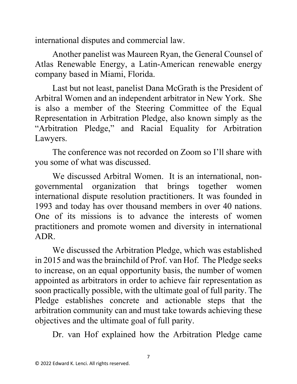international disputes and commercial law.

Another panelist was Maureen Ryan, the General Counsel of Atlas Renewable Energy, a Latin-American renewable energy company based in Miami, Florida.

Last but not least, panelist Dana McGrath is the President of Arbitral Women and an independent arbitrator in New York. She is also a member of the Steering Committee of the Equal Representation in Arbitration Pledge, also known simply as the "Arbitration Pledge," and Racial Equality for Arbitration Lawyers.

The conference was not recorded on Zoom so I'll share with you some of what was discussed.

We discussed Arbitral Women. It is an international, nongovernmental organization that brings together women international dispute resolution practitioners. It was founded in 1993 and today has over thousand members in over 40 nations. One of its missions is to advance the interests of women practitioners and promote women and diversity in international ADR.

We discussed the Arbitration Pledge, which was established in 2015 and was the brainchild of Prof. van Hof. The Pledge seeks to increase, on an equal opportunity basis, the number of women appointed as arbitrators in order to achieve fair representation as soon practically possible, with the ultimate goal of full parity. The Pledge establishes concrete and actionable steps that the arbitration community can and must take towards achieving these objectives and the ultimate goal of full parity.

Dr. van Hof explained how the Arbitration Pledge came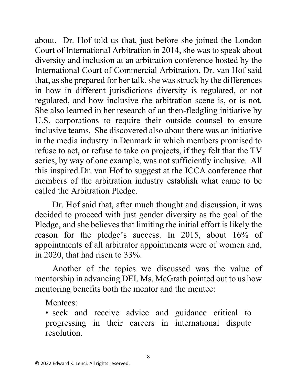about. Dr. Hof told us that, just before she joined the London Court of International Arbitration in 2014, she was to speak about diversity and inclusion at an arbitration conference hosted by the International Court of Commercial Arbitration. Dr. van Hof said that, as she prepared for her talk, she was struck by the differences in how in different jurisdictions diversity is regulated, or not regulated, and how inclusive the arbitration scene is, or is not. She also learned in her research of an then-fledgling initiative by U.S. corporations to require their outside counsel to ensure inclusive teams. She discovered also about there was an initiative in the media industry in Denmark in which members promised to refuse to act, or refuse to take on projects, if they felt that the TV series, by way of one example, was not sufficiently inclusive. All this inspired Dr. van Hof to suggest at the ICCA conference that members of the arbitration industry establish what came to be called the Arbitration Pledge.

Dr. Hof said that, after much thought and discussion, it was decided to proceed with just gender diversity as the goal of the Pledge, and she believes that limiting the initial effort is likely the reason for the pledge's success. In 2015, about 16% of appointments of all arbitrator appointments were of women and, in 2020, that had risen to 33%.

Another of the topics we discussed was the value of mentorship in advancing DEI. Ms. McGrath pointed out to us how mentoring benefits both the mentor and the mentee:

Mentees:

• seek and receive advice and guidance critical to progressing in their careers in international dispute resolution.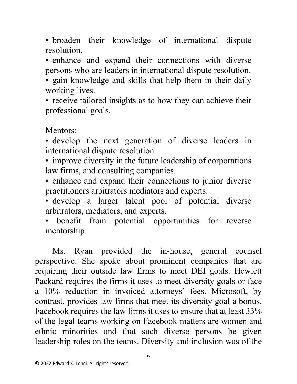• broaden their knowledge of international dispute resolution.

• enhance and expand their connections with diverse persons who are leaders in international dispute resolution.

• gain knowledge and skills that help them in their daily working lives.

• receive tailored insights as to how they can achieve their professional goals.

Mentors:

• develop the next generation of diverse leaders in international dispute resolution.

• improve diversity in the future leadership of corporations law firms, and consulting companies.

• enhance and expand their connections to junior diverse practitioners arbitrators mediators and experts.

• develop a larger talent pool of potential diverse arbitrators, mediators, and experts.

• benefit from potential opportunities for reverse mentorship.

Ms. Ryan provided the in-house, general counsel perspective. She spoke about prominent companies that are requiring their outside law firms to meet DEI goals. Hewlett Packard requires the firms it uses to meet diversity goals or face a 10% reduction in invoiced attorneys' fees. Microsoft, by contrast, provides law firms that meet its diversity goal a bonus. Facebook requires the law firms it uses to ensure that at least 33% of the legal teams working on Facebook matters are women and ethnic minorities and that such diverse persons be given leadership roles on the teams. Diversity and inclusion was of the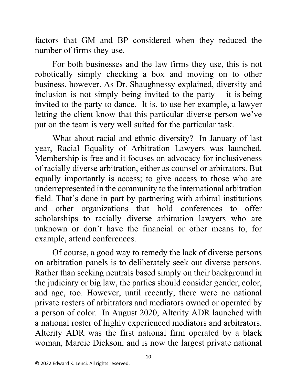factors that GM and BP considered when they reduced the number of firms they use.

For both businesses and the law firms they use, this is not robotically simply checking a box and moving on to other business, however. As Dr. Shaughnessy explained, diversity and inclusion is not simply being invited to the party  $-$  it is being invited to the party to dance. It is, to use her example, a lawyer letting the client know that this particular diverse person we've put on the team is very well suited for the particular task.

What about racial and ethnic diversity? In January of last year, Racial Equality of Arbitration Lawyers was launched. Membership is free and it focuses on advocacy for inclusiveness of racially diverse arbitration, either as counsel or arbitrators. But equally importantly is access; to give access to those who are underrepresented in the community to the international arbitration field. That's done in part by partnering with arbitral institutions and other organizations that hold conferences to offer scholarships to racially diverse arbitration lawyers who are unknown or don't have the financial or other means to, for example, attend conferences.

Of course, a good way to remedy the lack of diverse persons on arbitration panels is to deliberately seek out diverse persons. Rather than seeking neutrals based simply on their background in the judiciary or big law, the parties should consider gender, color, and age, too. However, until recently, there were no national private rosters of arbitrators and mediators owned or operated by a person of color. In August 2020, Alterity ADR launched with a national roster of highly experienced mediators and arbitrators. Alterity ADR was the first national firm operated by a black woman, Marcie Dickson, and is now the largest private national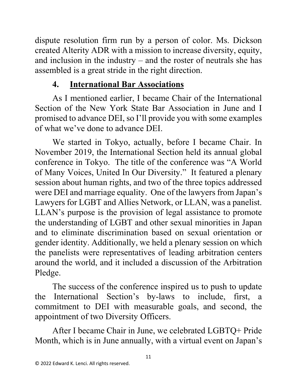dispute resolution firm run by a person of color. Ms. Dickson created Alterity ADR with a mission to increase diversity, equity, and inclusion in the industry – and the roster of neutrals she has assembled is a great stride in the right direction.

# **4. International Bar Associations**

As I mentioned earlier, I became Chair of the International Section of the New York State Bar Association in June and I promised to advance DEI, so I'll provide you with some examples of what we've done to advance DEI.

We started in Tokyo, actually, before I became Chair. In November 2019, the International Section held its annual global conference in Tokyo. The title of the conference was "A World of Many Voices, United In Our Diversity." It featured a plenary session about human rights, and two of the three topics addressed were DEI and marriage equality. One of the lawyers from Japan's Lawyers for LGBT and Allies Network, or LLAN, was a panelist. LLAN's purpose is the provision of legal assistance to promote the understanding of LGBT and other sexual minorities in Japan and to eliminate discrimination based on sexual orientation or gender identity. Additionally, we held a plenary session on which the panelists were representatives of leading arbitration centers around the world, and it included a discussion of the Arbitration Pledge.

The success of the conference inspired us to push to update the International Section's by-laws to include, first, a commitment to DEI with measurable goals, and second, the appointment of two Diversity Officers.

After I became Chair in June, we celebrated LGBTQ+ Pride Month, which is in June annually, with a virtual event on Japan's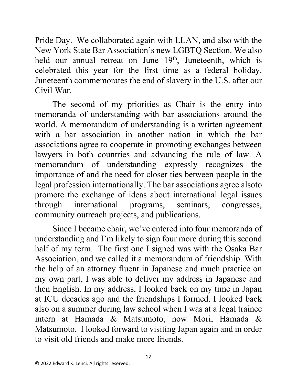Pride Day. We collaborated again with LLAN, and also with the New York State Bar Association's new LGBTQ Section. We also held our annual retreat on June 19<sup>th</sup>, Juneteenth, which is celebrated this year for the first time as a federal holiday. Juneteenth commemorates the end of slavery in the U.S. after our Civil War.

The second of my priorities as Chair is the entry into memoranda of understanding with bar associations around the world. A memorandum of understanding is a written agreement with a bar association in another nation in which the bar associations agree to cooperate in promoting exchanges between lawyers in both countries and advancing the rule of law. A memorandum of understanding expressly recognizes the importance of and the need for closer ties between people in the legal profession internationally. The bar associations agree alsoto promote the exchange of ideas about international legal issues through international programs, seminars, congresses, community outreach projects, and publications.

Since I became chair, we've entered into four memoranda of understanding and I'm likely to sign four more during this second half of my term. The first one I signed was with the Osaka Bar Association, and we called it a memorandum of friendship. With the help of an attorney fluent in Japanese and much practice on my own part, I was able to deliver my address in Japanese and then English. In my address, I looked back on my time in Japan at ICU decades ago and the friendships I formed. I looked back also on a summer during law school when I was at a legal trainee intern at Hamada & Matsumoto, now Mori, Hamada & Matsumoto. I looked forward to visiting Japan again and in order to visit old friends and make more friends.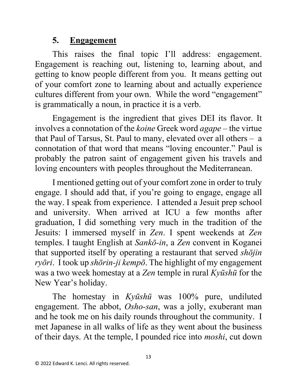## **5. Engagement**

This raises the final topic I'll address: engagement. Engagement is reaching out, listening to, learning about, and getting to know people different from you. It means getting out of your comfort zone to learning about and actually experience cultures different from your own. While the word "engagement" is grammatically a noun, in practice it is a verb.

Engagement is the ingredient that gives DEI its flavor. It involves a connotation of the *koine* Greek word *agape* – the virtue that Paul of Tarsus, St. Paul to many, elevated over all others – a connotation of that word that means "loving encounter." Paul is probably the patron saint of engagement given his travels and loving encounters with peoples throughout the Mediterranean.

I mentioned getting out of your comfort zone in order to truly engage. I should add that, if you're going to engage, engage all the way. I speak from experience. I attended a Jesuit prep school and university. When arrived at ICU a few months after graduation, I did something very much in the tradition of the Jesuits: I immersed myself in *Zen*. I spent weekends at *Zen* temples. I taught English at *Sankō-in*, a *Zen* convent in Koganei that supported itself by operating a restaurant that served *shōjin ryōri*. I took up *shōrin-ji kempō*. The highlight of my engagement was a two week homestay at a *Zen* temple in rural *Kyūshū* for the New Year's holiday.

The homestay in *Kyūshū* was 100% pure, undiluted engagement. The abbot, *Osho-san*, was a jolly, exuberant man and he took me on his daily rounds throughout the community. I met Japanese in all walks of life as they went about the business of their days. At the temple, I pounded rice into *moshi*, cut down